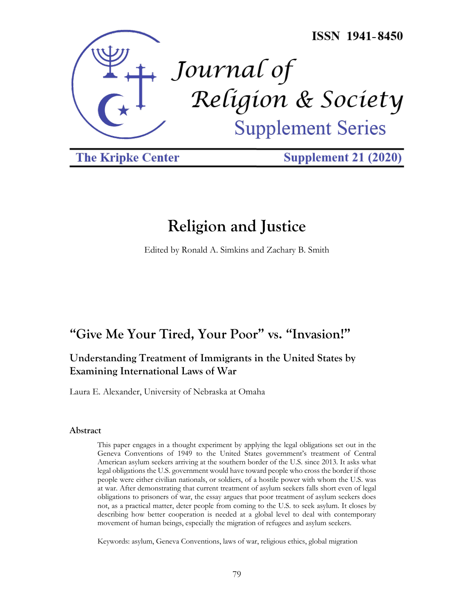

**The Kripke Center** 

**Supplement 21 (2020)** 

# **Religion and Justice**

Edited by Ronald A. Simkins and Zachary B. Smith

## **"Give Me Your Tired, Your Poor" vs. "Invasion!"**

## **Understanding Treatment of Immigrants in the United States by Examining International Laws of War**

Laura E. Alexander, University of Nebraska at Omaha

#### **Abstract**

This paper engages in a thought experiment by applying the legal obligations set out in the Geneva Conventions of 1949 to the United States government's treatment of Central American asylum seekers arriving at the southern border of the U.S. since 2013. It asks what legal obligations the U.S. government would have toward people who cross the border if those people were either civilian nationals, or soldiers, of a hostile power with whom the U.S. was at war. After demonstrating that current treatment of asylum seekers falls short even of legal obligations to prisoners of war, the essay argues that poor treatment of asylum seekers does not, as a practical matter, deter people from coming to the U.S. to seek asylum. It closes by describing how better cooperation is needed at a global level to deal with contemporary movement of human beings, especially the migration of refugees and asylum seekers.

Keywords: asylum, Geneva Conventions, laws of war, religious ethics, global migration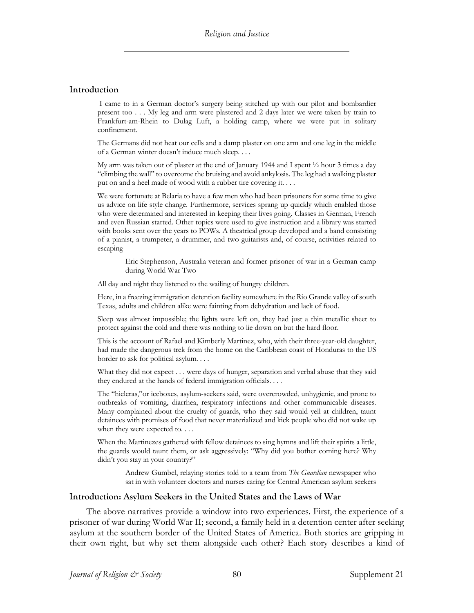#### **Introduction**

I came to in a German doctor's surgery being stitched up with our pilot and bombardier present too . . . My leg and arm were plastered and 2 days later we were taken by train to Frankfurt-am-Rhein to Dulag Luft, a holding camp, where we were put in solitary confinement.

The Germans did not heat our cells and a damp plaster on one arm and one leg in the middle of a German winter doesn't induce much sleep. . . .

My arm was taken out of plaster at the end of January 1944 and I spent ½ hour 3 times a day "climbing the wall" to overcome the bruising and avoid ankylosis. The leg had a walking plaster put on and a heel made of wood with a rubber tire covering it. . . .

We were fortunate at Belaria to have a few men who had been prisoners for some time to give us advice on life style change. Furthermore, services sprang up quickly which enabled those who were determined and interested in keeping their lives going. Classes in German, French and even Russian started. Other topics were used to give instruction and a library was started with books sent over the years to POWs. A theatrical group developed and a band consisting of a pianist, a trumpeter, a drummer, and two guitarists and, of course, activities related to escaping

Eric Stephenson, Australia veteran and former prisoner of war in a German camp during World War Two

All day and night they listened to the wailing of hungry children.

Here, in a freezing immigration detention facility somewhere in the Rio Grande valley of south Texas, adults and children alike were fainting from dehydration and lack of food.

Sleep was almost impossible; the lights were left on, they had just a thin metallic sheet to protect against the cold and there was nothing to lie down on but the hard floor.

This is the account of Rafael and Kimberly Martinez, who, with their three-year-old daughter, had made the dangerous trek from the home on the Caribbean coast of Honduras to the US border to ask for political asylum. . . .

What they did not expect . . . were days of hunger, separation and verbal abuse that they said they endured at the hands of federal immigration officials. . . .

The "hieleras,"or iceboxes, asylum-seekers said, were overcrowded, unhygienic, and prone to outbreaks of vomiting, diarrhea, respiratory infections and other communicable diseases. Many complained about the cruelty of guards, who they said would yell at children, taunt detainees with promises of food that never materialized and kick people who did not wake up when they were expected to. . . .

When the Martinezes gathered with fellow detainees to sing hymns and lift their spirits a little, the guards would taunt them, or ask aggressively: "Why did you bother coming here? Why didn't you stay in your country?"

Andrew Gumbel, relaying stories told to a team from *The Guardian* newspaper who sat in with volunteer doctors and nurses caring for Central American asylum seekers

#### **Introduction: Asylum Seekers in the United States and the Laws of War**

The above narratives provide a window into two experiences. First, the experience of a prisoner of war during World War II; second, a family held in a detention center after seeking asylum at the southern border of the United States of America. Both stories are gripping in their own right, but why set them alongside each other? Each story describes a kind of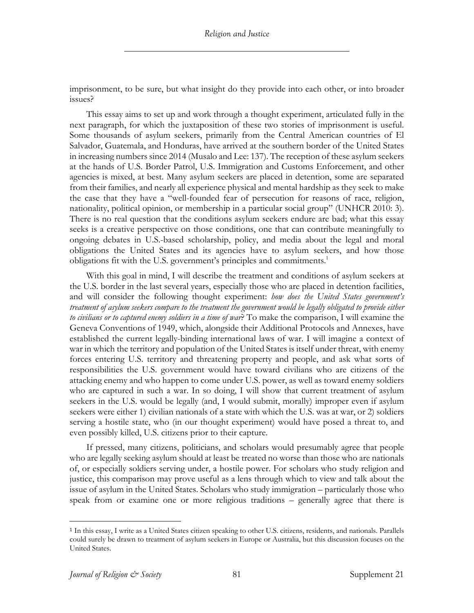imprisonment, to be sure, but what insight do they provide into each other, or into broader issues?

This essay aims to set up and work through a thought experiment, articulated fully in the next paragraph, for which the juxtaposition of these two stories of imprisonment is useful. Some thousands of asylum seekers, primarily from the Central American countries of El Salvador, Guatemala, and Honduras, have arrived at the southern border of the United States in increasing numbers since 2014 (Musalo and Lee: 137). The reception of these asylum seekers at the hands of U.S. Border Patrol, U.S. Immigration and Customs Enforcement, and other agencies is mixed, at best. Many asylum seekers are placed in detention, some are separated from their families, and nearly all experience physical and mental hardship as they seek to make the case that they have a "well-founded fear of persecution for reasons of race, religion, nationality, political opinion, or membership in a particular social group" (UNHCR 2010: 3). There is no real question that the conditions asylum seekers endure are bad; what this essay seeks is a creative perspective on those conditions, one that can contribute meaningfully to ongoing debates in U.S.-based scholarship, policy, and media about the legal and moral obligations the United States and its agencies have to asylum seekers, and how those obligations fit with the U.S. government's principles and commitments.<sup>1</sup>

With this goal in mind, I will describe the treatment and conditions of asylum seekers at the U.S. border in the last several years, especially those who are placed in detention facilities, and will consider the following thought experiment: *how does the United States government's treatment of asylum seekers compare to the treatment the government would be legally obligated to provide either to civilians or to captured enemy soldiers in a time of war*? To make the comparison, I will examine the Geneva Conventions of 1949, which, alongside their Additional Protocols and Annexes, have established the current legally-binding international laws of war. I will imagine a context of war in which the territory and population of the United States is itself under threat, with enemy forces entering U.S. territory and threatening property and people, and ask what sorts of responsibilities the U.S. government would have toward civilians who are citizens of the attacking enemy and who happen to come under U.S. power, as well as toward enemy soldiers who are captured in such a war. In so doing, I will show that current treatment of asylum seekers in the U.S. would be legally (and, I would submit, morally) improper even if asylum seekers were either 1) civilian nationals of a state with which the U.S. was at war, or 2) soldiers serving a hostile state, who (in our thought experiment) would have posed a threat to, and even possibly killed, U.S. citizens prior to their capture.

If pressed, many citizens, politicians, and scholars would presumably agree that people who are legally seeking asylum should at least be treated no worse than those who are nationals of, or especially soldiers serving under, a hostile power. For scholars who study religion and justice, this comparison may prove useful as a lens through which to view and talk about the issue of asylum in the United States. Scholars who study immigration – particularly those who speak from or examine one or more religious traditions – generally agree that there is

<sup>1</sup> In this essay, I write as a United States citizen speaking to other U.S. citizens, residents, and nationals. Parallels could surely be drawn to treatment of asylum seekers in Europe or Australia, but this discussion focuses on the United States.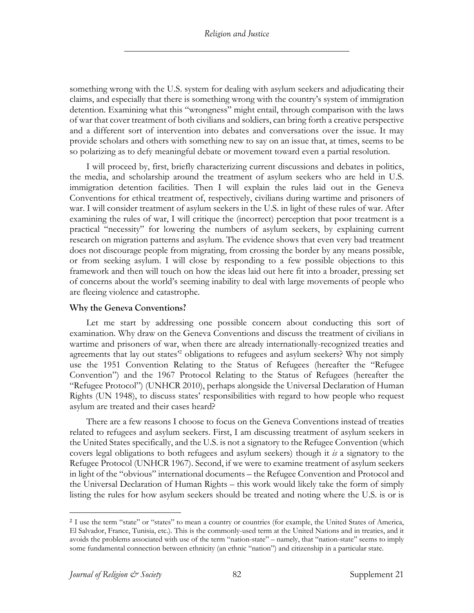something wrong with the U.S. system for dealing with asylum seekers and adjudicating their claims, and especially that there is something wrong with the country's system of immigration detention. Examining what this "wrongness" might entail, through comparison with the laws of war that cover treatment of both civilians and soldiers, can bring forth a creative perspective and a different sort of intervention into debates and conversations over the issue. It may provide scholars and others with something new to say on an issue that, at times, seems to be so polarizing as to defy meaningful debate or movement toward even a partial resolution.

I will proceed by, first, briefly characterizing current discussions and debates in politics, the media, and scholarship around the treatment of asylum seekers who are held in U.S. immigration detention facilities. Then I will explain the rules laid out in the Geneva Conventions for ethical treatment of, respectively, civilians during wartime and prisoners of war. I will consider treatment of asylum seekers in the U.S. in light of these rules of war. After examining the rules of war, I will critique the (incorrect) perception that poor treatment is a practical "necessity" for lowering the numbers of asylum seekers, by explaining current research on migration patterns and asylum. The evidence shows that even very bad treatment does not discourage people from migrating, from crossing the border by any means possible, or from seeking asylum. I will close by responding to a few possible objections to this framework and then will touch on how the ideas laid out here fit into a broader, pressing set of concerns about the world's seeming inability to deal with large movements of people who are fleeing violence and catastrophe.

## **Why the Geneva Conventions?**

Let me start by addressing one possible concern about conducting this sort of examination. Why draw on the Geneva Conventions and discuss the treatment of civilians in wartime and prisoners of war, when there are already internationally-recognized treaties and agreements that lay out states<sup>22</sup> obligations to refugees and asylum seekers? Why not simply use the 1951 Convention Relating to the Status of Refugees (hereafter the "Refugee Convention") and the 1967 Protocol Relating to the Status of Refugees (hereafter the "Refugee Protocol") (UNHCR 2010), perhaps alongside the Universal Declaration of Human Rights (UN 1948), to discuss states' responsibilities with regard to how people who request asylum are treated and their cases heard?

There are a few reasons I choose to focus on the Geneva Conventions instead of treaties related to refugees and asylum seekers. First, I am discussing treatment of asylum seekers in the United States specifically, and the U.S. is not a signatory to the Refugee Convention (which covers legal obligations to both refugees and asylum seekers) though it *is* a signatory to the Refugee Protocol (UNHCR 1967). Second, if we were to examine treatment of asylum seekers in light of the "obvious" international documents – the Refugee Convention and Protocol and the Universal Declaration of Human Rights – this work would likely take the form of simply listing the rules for how asylum seekers should be treated and noting where the U.S. is or is

<sup>&</sup>lt;sup>2</sup> I use the term "state" or "states" to mean a country or countries (for example, the United States of America, El Salvador, France, Tunisia, etc.). This is the commonly-used term at the United Nations and in treaties, and it avoids the problems associated with use of the term "nation-state" – namely, that "nation-state" seems to imply some fundamental connection between ethnicity (an ethnic "nation") and citizenship in a particular state.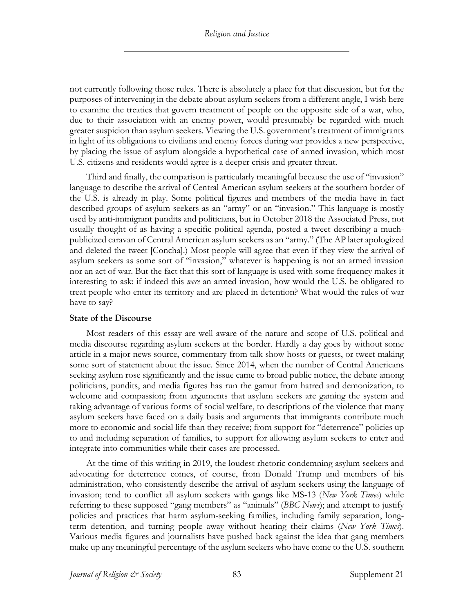not currently following those rules. There is absolutely a place for that discussion, but for the purposes of intervening in the debate about asylum seekers from a different angle, I wish here to examine the treaties that govern treatment of people on the opposite side of a war, who, due to their association with an enemy power, would presumably be regarded with much greater suspicion than asylum seekers. Viewing the U.S. government's treatment of immigrants in light of its obligations to civilians and enemy forces during war provides a new perspective, by placing the issue of asylum alongside a hypothetical case of armed invasion, which most U.S. citizens and residents would agree is a deeper crisis and greater threat.

Third and finally, the comparison is particularly meaningful because the use of "invasion" language to describe the arrival of Central American asylum seekers at the southern border of the U.S. is already in play. Some political figures and members of the media have in fact described groups of asylum seekers as an "army" or an "invasion." This language is mostly used by anti-immigrant pundits and politicians, but in October 2018 the Associated Press, not usually thought of as having a specific political agenda, posted a tweet describing a muchpublicized caravan of Central American asylum seekers as an "army." (The AP later apologized and deleted the tweet [Concha].) Most people will agree that even if they view the arrival of asylum seekers as some sort of "invasion," whatever is happening is not an armed invasion nor an act of war. But the fact that this sort of language is used with some frequency makes it interesting to ask: if indeed this *were* an armed invasion, how would the U.S. be obligated to treat people who enter its territory and are placed in detention? What would the rules of war have to say?

#### **State of the Discourse**

Most readers of this essay are well aware of the nature and scope of U.S. political and media discourse regarding asylum seekers at the border. Hardly a day goes by without some article in a major news source, commentary from talk show hosts or guests, or tweet making some sort of statement about the issue. Since 2014, when the number of Central Americans seeking asylum rose significantly and the issue came to broad public notice, the debate among politicians, pundits, and media figures has run the gamut from hatred and demonization, to welcome and compassion; from arguments that asylum seekers are gaming the system and taking advantage of various forms of social welfare, to descriptions of the violence that many asylum seekers have faced on a daily basis and arguments that immigrants contribute much more to economic and social life than they receive; from support for "deterrence" policies up to and including separation of families, to support for allowing asylum seekers to enter and integrate into communities while their cases are processed.

At the time of this writing in 2019, the loudest rhetoric condemning asylum seekers and advocating for deterrence comes, of course, from Donald Trump and members of his administration, who consistently describe the arrival of asylum seekers using the language of invasion; tend to conflict all asylum seekers with gangs like MS-13 (*New York Times*) while referring to these supposed "gang members" as "animals" (*BBC News*); and attempt to justify policies and practices that harm asylum-seeking families, including family separation, longterm detention, and turning people away without hearing their claims (*New York Times*). Various media figures and journalists have pushed back against the idea that gang members make up any meaningful percentage of the asylum seekers who have come to the U.S. southern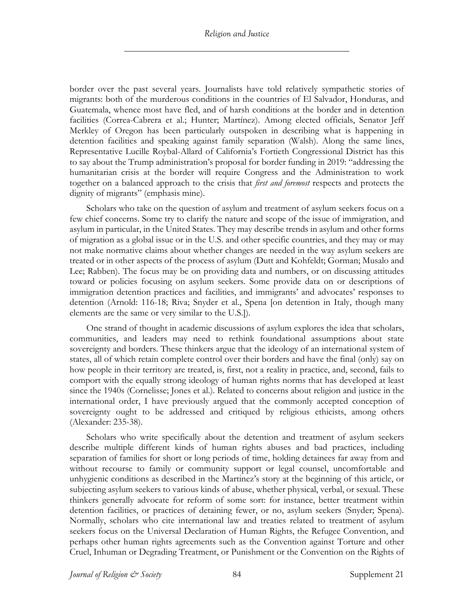border over the past several years. Journalists have told relatively sympathetic stories of migrants: both of the murderous conditions in the countries of El Salvador, Honduras, and Guatemala, whence most have fled, and of harsh conditions at the border and in detention facilities (Correa-Cabrera et al.; Hunter; Martínez). Among elected officials, Senator Jeff Merkley of Oregon has been particularly outspoken in describing what is happening in detention facilities and speaking against family separation (Walsh). Along the same lines, Representative Lucille Roybal-Allard of California's Fortieth Congressional District has this to say about the Trump administration's proposal for border funding in 2019: "addressing the humanitarian crisis at the border will require Congress and the Administration to work together on a balanced approach to the crisis that *first and foremost* respects and protects the dignity of migrants" (emphasis mine).

Scholars who take on the question of asylum and treatment of asylum seekers focus on a few chief concerns. Some try to clarify the nature and scope of the issue of immigration, and asylum in particular, in the United States. They may describe trends in asylum and other forms of migration as a global issue or in the U.S. and other specific countries, and they may or may not make normative claims about whether changes are needed in the way asylum seekers are treated or in other aspects of the process of asylum (Dutt and Kohfeldt; Gorman; Musalo and Lee; Rabben). The focus may be on providing data and numbers, or on discussing attitudes toward or policies focusing on asylum seekers. Some provide data on or descriptions of immigration detention practices and facilities, and immigrants' and advocates' responses to detention (Arnold: 116-18; Riva; Snyder et al., Spena [on detention in Italy, though many elements are the same or very similar to the U.S.]).

One strand of thought in academic discussions of asylum explores the idea that scholars, communities, and leaders may need to rethink foundational assumptions about state sovereignty and borders. These thinkers argue that the ideology of an international system of states, all of which retain complete control over their borders and have the final (only) say on how people in their territory are treated, is, first, not a reality in practice, and, second, fails to comport with the equally strong ideology of human rights norms that has developed at least since the 1940s (Cornelisse; Jones et al.). Related to concerns about religion and justice in the international order, I have previously argued that the commonly accepted conception of sovereignty ought to be addressed and critiqued by religious ethicists, among others (Alexander: 235-38).

Scholars who write specifically about the detention and treatment of asylum seekers describe multiple different kinds of human rights abuses and bad practices, including separation of families for short or long periods of time, holding detainees far away from and without recourse to family or community support or legal counsel, uncomfortable and unhygienic conditions as described in the Martinez's story at the beginning of this article, or subjecting asylum seekers to various kinds of abuse, whether physical, verbal, or sexual. These thinkers generally advocate for reform of some sort: for instance, better treatment within detention facilities, or practices of detaining fewer, or no, asylum seekers (Snyder; Spena). Normally, scholars who cite international law and treaties related to treatment of asylum seekers focus on the Universal Declaration of Human Rights, the Refugee Convention, and perhaps other human rights agreements such as the Convention against Torture and other Cruel, Inhuman or Degrading Treatment, or Punishment or the Convention on the Rights of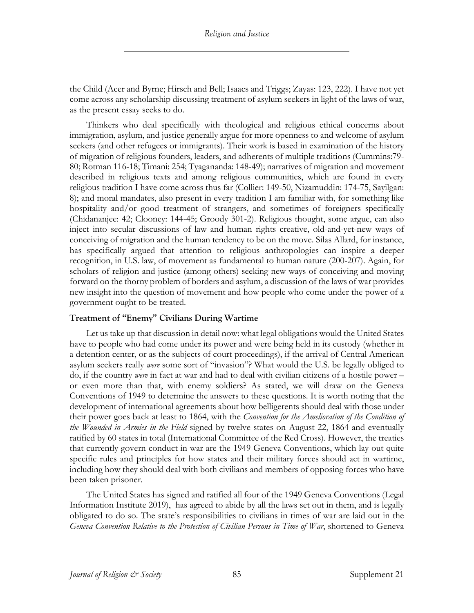the Child (Acer and Byrne; Hirsch and Bell; Isaacs and Triggs; Zayas: 123, 222). I have not yet come across any scholarship discussing treatment of asylum seekers in light of the laws of war, as the present essay seeks to do.

Thinkers who deal specifically with theological and religious ethical concerns about immigration, asylum, and justice generally argue for more openness to and welcome of asylum seekers (and other refugees or immigrants). Their work is based in examination of the history of migration of religious founders, leaders, and adherents of multiple traditions (Cummins:79- 80; Rotman 116-18; Timani: 254; Tyagananda: 148-49); narratives of migration and movement described in religious texts and among religious communities, which are found in every religious tradition I have come across thus far (Collier: 149-50, Nizamuddin: 174-75, Sayilgan: 8); and moral mandates, also present in every tradition I am familiar with, for something like hospitality and/or good treatment of strangers, and sometimes of foreigners specifically (Chidananjee: 42; Clooney: 144-45; Groody 301-2). Religious thought, some argue, can also inject into secular discussions of law and human rights creative, old-and-yet-new ways of conceiving of migration and the human tendency to be on the move. Silas Allard, for instance, has specifically argued that attention to religious anthropologies can inspire a deeper recognition, in U.S. law, of movement as fundamental to human nature (200-207). Again, for scholars of religion and justice (among others) seeking new ways of conceiving and moving forward on the thorny problem of borders and asylum, a discussion of the laws of war provides new insight into the question of movement and how people who come under the power of a government ought to be treated.

## **Treatment of "Enemy" Civilians During Wartime**

Let us take up that discussion in detail now: what legal obligations would the United States have to people who had come under its power and were being held in its custody (whether in a detention center, or as the subjects of court proceedings), if the arrival of Central American asylum seekers really *were* some sort of "invasion"? What would the U.S. be legally obliged to do, if the country *were* in fact at war and had to deal with civilian citizens of a hostile power – or even more than that, with enemy soldiers? As stated, we will draw on the Geneva Conventions of 1949 to determine the answers to these questions. It is worth noting that the development of international agreements about how belligerents should deal with those under their power goes back at least to 1864, with the *Convention for the Amelioration of the Condition of the Wounded in Armies in the Field* signed by twelve states on August 22, 1864 and eventually ratified by 60 states in total (International Committee of the Red Cross). However, the treaties that currently govern conduct in war are the 1949 Geneva Conventions, which lay out quite specific rules and principles for how states and their military forces should act in wartime, including how they should deal with both civilians and members of opposing forces who have been taken prisoner.

The United States has signed and ratified all four of the 1949 Geneva Conventions (Legal Information Institute 2019), has agreed to abide by all the laws set out in them, and is legally obligated to do so. The state's responsibilities to civilians in times of war are laid out in the *Geneva Convention Relative to the Protection of Civilian Persons in Time of War*, shortened to Geneva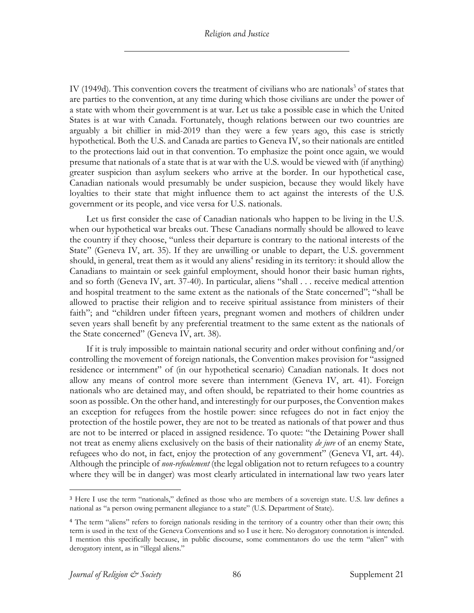IV (1949d). This convention covers the treatment of civilians who are nationals<sup>3</sup> of states that are parties to the convention, at any time during which those civilians are under the power of a state with whom their government is at war. Let us take a possible case in which the United States is at war with Canada. Fortunately, though relations between our two countries are arguably a bit chillier in mid-2019 than they were a few years ago, this case is strictly hypothetical. Both the U.S. and Canada are parties to Geneva IV, so their nationals are entitled to the protections laid out in that convention. To emphasize the point once again, we would presume that nationals of a state that is at war with the U.S. would be viewed with (if anything) greater suspicion than asylum seekers who arrive at the border. In our hypothetical case, Canadian nationals would presumably be under suspicion, because they would likely have loyalties to their state that might influence them to act against the interests of the U.S. government or its people, and vice versa for U.S. nationals.

Let us first consider the case of Canadian nationals who happen to be living in the U.S. when our hypothetical war breaks out. These Canadians normally should be allowed to leave the country if they choose, "unless their departure is contrary to the national interests of the State" (Geneva IV, art. 35). If they are unwilling or unable to depart, the U.S. government should, in general, treat them as it would any aliens<sup>4</sup> residing in its territory: it should allow the Canadians to maintain or seek gainful employment, should honor their basic human rights, and so forth (Geneva IV, art. 37-40). In particular, aliens "shall . . . receive medical attention and hospital treatment to the same extent as the nationals of the State concerned"; "shall be allowed to practise their religion and to receive spiritual assistance from ministers of their faith"; and "children under fifteen years, pregnant women and mothers of children under seven years shall benefit by any preferential treatment to the same extent as the nationals of the State concerned" (Geneva IV, art. 38).

If it is truly impossible to maintain national security and order without confining and/or controlling the movement of foreign nationals, the Convention makes provision for "assigned residence or internment" of (in our hypothetical scenario) Canadian nationals. It does not allow any means of control more severe than internment (Geneva IV, art. 41). Foreign nationals who are detained may, and often should, be repatriated to their home countries as soon as possible. On the other hand, and interestingly for our purposes, the Convention makes an exception for refugees from the hostile power: since refugees do not in fact enjoy the protection of the hostile power, they are not to be treated as nationals of that power and thus are not to be interred or placed in assigned residence. To quote: "the Detaining Power shall not treat as enemy aliens exclusively on the basis of their nationality *de jure* of an enemy State, refugees who do not, in fact, enjoy the protection of any government" (Geneva VI, art. 44). Although the principle of *non-refoulement* (the legal obligation not to return refugees to a country where they will be in danger) was most clearly articulated in international law two years later

<sup>3</sup> Here I use the term "nationals," defined as those who are members of a sovereign state. U.S. law defines a national as "a person owing permanent allegiance to a state" (U.S. Department of State).

<sup>4</sup> The term "aliens" refers to foreign nationals residing in the territory of a country other than their own; this term is used in the text of the Geneva Conventions and so I use it here. No derogatory connotation is intended. I mention this specifically because, in public discourse, some commentators do use the term "alien" with derogatory intent, as in "illegal aliens."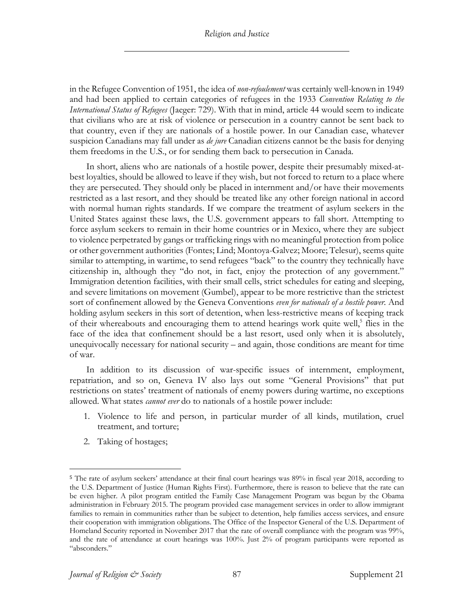#### *Religion and Justice*

in the Refugee Convention of 1951, the idea of *non-refoulement* was certainly well-known in 1949 and had been applied to certain categories of refugees in the 1933 *Convention Relating to the International Status of Refugees* (Jaeger: 729). With that in mind, article 44 would seem to indicate that civilians who are at risk of violence or persecution in a country cannot be sent back to that country, even if they are nationals of a hostile power. In our Canadian case, whatever suspicion Canadians may fall under as *de jure* Canadian citizens cannot be the basis for denying them freedoms in the U.S., or for sending them back to persecution in Canada.

In short, aliens who are nationals of a hostile power, despite their presumably mixed-atbest loyalties, should be allowed to leave if they wish, but not forced to return to a place where they are persecuted. They should only be placed in internment and/or have their movements restricted as a last resort, and they should be treated like any other foreign national in accord with normal human rights standards. If we compare the treatment of asylum seekers in the United States against these laws, the U.S. government appears to fall short. Attempting to force asylum seekers to remain in their home countries or in Mexico, where they are subject to violence perpetrated by gangs or trafficking rings with no meaningful protection from police or other government authorities (Fontes; Lind; Montoya-Galvez; Moore; Telesur), seems quite similar to attempting, in wartime, to send refugees "back" to the country they technically have citizenship in, although they "do not, in fact, enjoy the protection of any government." Immigration detention facilities, with their small cells, strict schedules for eating and sleeping, and severe limitations on movement (Gumbel), appear to be more restrictive than the strictest sort of confinement allowed by the Geneva Conventions *even for nationals of a hostile power.* And holding asylum seekers in this sort of detention, when less-restrictive means of keeping track of their whereabouts and encouraging them to attend hearings work quite well,<sup>5</sup> flies in the face of the idea that confinement should be a last resort, used only when it is absolutely, unequivocally necessary for national security – and again, those conditions are meant for time of war.

In addition to its discussion of war-specific issues of internment, employment, repatriation, and so on, Geneva IV also lays out some "General Provisions" that put restrictions on states' treatment of nationals of enemy powers during wartime, no exceptions allowed. What states *cannot ever* do to nationals of a hostile power include:

- 1. Violence to life and person, in particular murder of all kinds, mutilation, cruel treatment, and torture;
- 2. Taking of hostages;

<sup>&</sup>lt;sup>5</sup> The rate of asylum seekers' attendance at their final court hearings was 89% in fiscal year 2018, according to the U.S. Department of Justice (Human Rights First). Furthermore, there is reason to believe that the rate can be even higher. A pilot program entitled the Family Case Management Program was begun by the Obama administration in February 2015. The program provided case management services in order to allow immigrant families to remain in communities rather than be subject to detention, help families access services, and ensure their cooperation with immigration obligations. The Office of the Inspector General of the U.S. Department of Homeland Security reported in November 2017 that the rate of overall compliance with the program was 99%, and the rate of attendance at court hearings was 100%. Just 2% of program participants were reported as "absconders."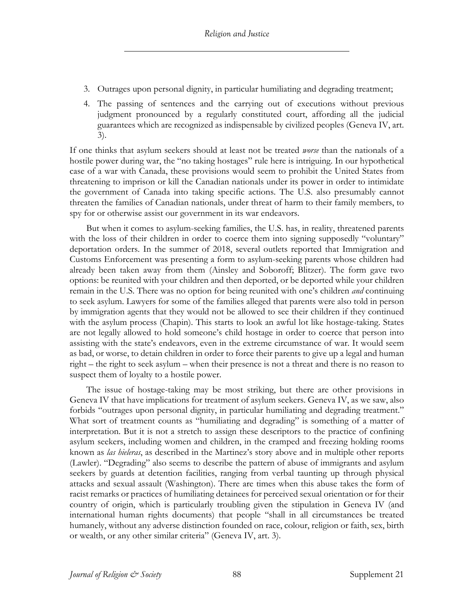- 3. Outrages upon personal dignity, in particular humiliating and degrading treatment;
- 4. The passing of sentences and the carrying out of executions without previous judgment pronounced by a regularly constituted court, affording all the judicial guarantees which are recognized as indispensable by civilized peoples (Geneva IV, art. 3).

If one thinks that asylum seekers should at least not be treated *worse* than the nationals of a hostile power during war, the "no taking hostages" rule here is intriguing. In our hypothetical case of a war with Canada, these provisions would seem to prohibit the United States from threatening to imprison or kill the Canadian nationals under its power in order to intimidate the government of Canada into taking specific actions. The U.S. also presumably cannot threaten the families of Canadian nationals, under threat of harm to their family members, to spy for or otherwise assist our government in its war endeavors.

But when it comes to asylum-seeking families, the U.S. has, in reality, threatened parents with the loss of their children in order to coerce them into signing supposedly "voluntary" deportation orders. In the summer of 2018, several outlets reported that Immigration and Customs Enforcement was presenting a form to asylum-seeking parents whose children had already been taken away from them (Ainsley and Soboroff; Blitzer). The form gave two options: be reunited with your children and then deported, or be deported while your children remain in the U.S. There was no option for being reunited with one's children *and* continuing to seek asylum. Lawyers for some of the families alleged that parents were also told in person by immigration agents that they would not be allowed to see their children if they continued with the asylum process (Chapin). This starts to look an awful lot like hostage-taking. States are not legally allowed to hold someone's child hostage in order to coerce that person into assisting with the state's endeavors, even in the extreme circumstance of war. It would seem as bad, or worse, to detain children in order to force their parents to give up a legal and human right – the right to seek asylum – when their presence is not a threat and there is no reason to suspect them of loyalty to a hostile power.

The issue of hostage-taking may be most striking, but there are other provisions in Geneva IV that have implications for treatment of asylum seekers. Geneva IV, as we saw, also forbids "outrages upon personal dignity, in particular humiliating and degrading treatment." What sort of treatment counts as "humiliating and degrading" is something of a matter of interpretation. But it is not a stretch to assign these descriptors to the practice of confining asylum seekers, including women and children, in the cramped and freezing holding rooms known as *las hieleras*, as described in the Martinez's story above and in multiple other reports (Lawler). "Degrading" also seems to describe the pattern of abuse of immigrants and asylum seekers by guards at detention facilities, ranging from verbal taunting up through physical attacks and sexual assault (Washington). There are times when this abuse takes the form of racist remarks or practices of humiliating detainees for perceived sexual orientation or for their country of origin, which is particularly troubling given the stipulation in Geneva IV (and international human rights documents) that people "shall in all circumstances be treated humanely, without any adverse distinction founded on race, colour, religion or faith, sex, birth or wealth, or any other similar criteria" (Geneva IV, art. 3).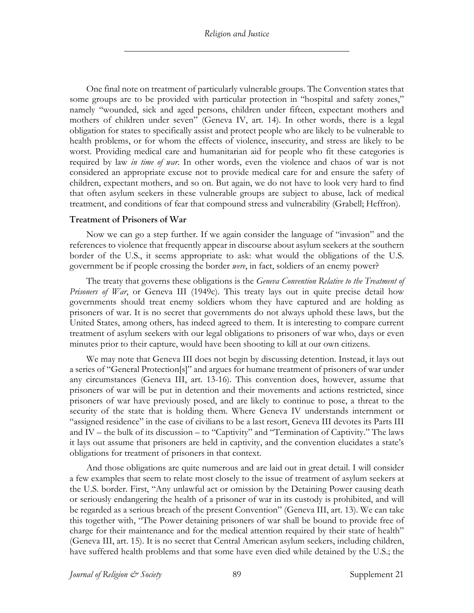One final note on treatment of particularly vulnerable groups. The Convention states that some groups are to be provided with particular protection in "hospital and safety zones," namely "wounded, sick and aged persons, children under fifteen, expectant mothers and mothers of children under seven" (Geneva IV, art. 14). In other words, there is a legal obligation for states to specifically assist and protect people who are likely to be vulnerable to health problems, or for whom the effects of violence, insecurity, and stress are likely to be worst. Providing medical care and humanitarian aid for people who fit these categories is required by law *in time of war*. In other words, even the violence and chaos of war is not considered an appropriate excuse not to provide medical care for and ensure the safety of children, expectant mothers, and so on. But again, we do not have to look very hard to find that often asylum seekers in these vulnerable groups are subject to abuse, lack of medical treatment, and conditions of fear that compound stress and vulnerability (Grabell; Heffron).

#### **Treatment of Prisoners of War**

Now we can go a step further. If we again consider the language of "invasion" and the references to violence that frequently appear in discourse about asylum seekers at the southern border of the U.S., it seems appropriate to ask: what would the obligations of the U.S. government be if people crossing the border *were*, in fact, soldiers of an enemy power?

The treaty that governs these obligations is the *Geneva Convention Relative to the Treatment of Prisoners of War*, or Geneva III (1949c). This treaty lays out in quite precise detail how governments should treat enemy soldiers whom they have captured and are holding as prisoners of war. It is no secret that governments do not always uphold these laws, but the United States, among others, has indeed agreed to them. It is interesting to compare current treatment of asylum seekers with our legal obligations to prisoners of war who, days or even minutes prior to their capture, would have been shooting to kill at our own citizens.

We may note that Geneva III does not begin by discussing detention. Instead, it lays out a series of "General Protection[s]" and argues for humane treatment of prisoners of war under any circumstances (Geneva III, art. 13-16). This convention does, however, assume that prisoners of war will be put in detention and their movements and actions restricted, since prisoners of war have previously posed, and are likely to continue to pose, a threat to the security of the state that is holding them. Where Geneva IV understands internment or "assigned residence" in the case of civilians to be a last resort, Geneva III devotes its Parts III and IV – the bulk of its discussion – to "Captivity" and "Termination of Captivity." The laws it lays out assume that prisoners are held in captivity, and the convention elucidates a state's obligations for treatment of prisoners in that context.

And those obligations are quite numerous and are laid out in great detail. I will consider a few examples that seem to relate most closely to the issue of treatment of asylum seekers at the U.S. border. First, "Any unlawful act or omission by the Detaining Power causing death or seriously endangering the health of a prisoner of war in its custody is prohibited, and will be regarded as a serious breach of the present Convention" (Geneva III, art. 13). We can take this together with, "The Power detaining prisoners of war shall be bound to provide free of charge for their maintenance and for the medical attention required by their state of health" (Geneva III, art. 15). It is no secret that Central American asylum seekers, including children, have suffered health problems and that some have even died while detained by the U.S.; the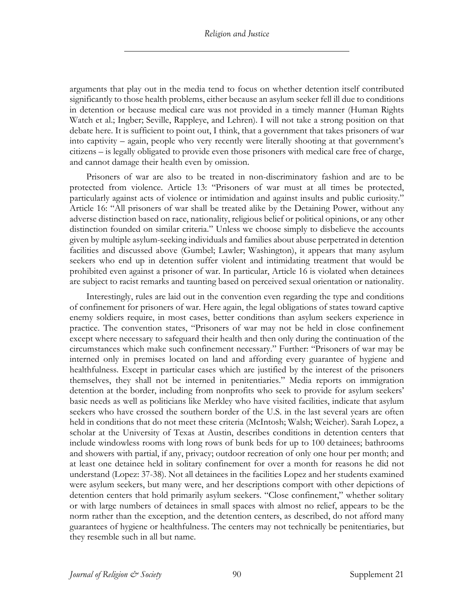arguments that play out in the media tend to focus on whether detention itself contributed significantly to those health problems, either because an asylum seeker fell ill due to conditions in detention or because medical care was not provided in a timely manner (Human Rights Watch et al.; Ingber; Seville, Rappleye, and Lehren). I will not take a strong position on that debate here. It is sufficient to point out, I think, that a government that takes prisoners of war into captivity – again, people who very recently were literally shooting at that government's citizens – is legally obligated to provide even those prisoners with medical care free of charge, and cannot damage their health even by omission.

Prisoners of war are also to be treated in non-discriminatory fashion and are to be protected from violence. Article 13: "Prisoners of war must at all times be protected, particularly against acts of violence or intimidation and against insults and public curiosity." Article 16: "All prisoners of war shall be treated alike by the Detaining Power, without any adverse distinction based on race, nationality, religious belief or political opinions, or any other distinction founded on similar criteria." Unless we choose simply to disbelieve the accounts given by multiple asylum-seeking individuals and families about abuse perpetrated in detention facilities and discussed above (Gumbel; Lawler; Washington), it appears that many asylum seekers who end up in detention suffer violent and intimidating treatment that would be prohibited even against a prisoner of war. In particular, Article 16 is violated when detainees are subject to racist remarks and taunting based on perceived sexual orientation or nationality.

Interestingly, rules are laid out in the convention even regarding the type and conditions of confinement for prisoners of war. Here again, the legal obligations of states toward captive enemy soldiers require, in most cases, better conditions than asylum seekers experience in practice. The convention states, "Prisoners of war may not be held in close confinement except where necessary to safeguard their health and then only during the continuation of the circumstances which make such confinement necessary." Further: "Prisoners of war may be interned only in premises located on land and affording every guarantee of hygiene and healthfulness. Except in particular cases which are justified by the interest of the prisoners themselves, they shall not be interned in penitentiaries." Media reports on immigration detention at the border, including from nonprofits who seek to provide for asylum seekers' basic needs as well as politicians like Merkley who have visited facilities, indicate that asylum seekers who have crossed the southern border of the U.S. in the last several years are often held in conditions that do not meet these criteria (McIntosh; Walsh; Weicher). Sarah Lopez, a scholar at the University of Texas at Austin, describes conditions in detention centers that include windowless rooms with long rows of bunk beds for up to 100 detainees; bathrooms and showers with partial, if any, privacy; outdoor recreation of only one hour per month; and at least one detainee held in solitary confinement for over a month for reasons he did not understand (Lopez: 37-38). Not all detainees in the facilities Lopez and her students examined were asylum seekers, but many were, and her descriptions comport with other depictions of detention centers that hold primarily asylum seekers. "Close confinement," whether solitary or with large numbers of detainees in small spaces with almost no relief, appears to be the norm rather than the exception, and the detention centers, as described, do not afford many guarantees of hygiene or healthfulness. The centers may not technically be penitentiaries, but they resemble such in all but name.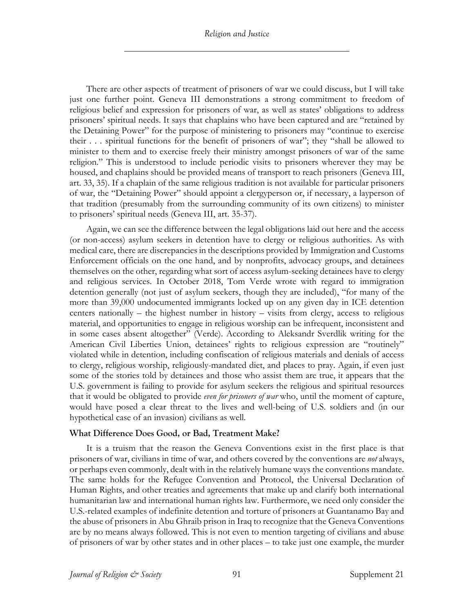*Religion and Justice*

There are other aspects of treatment of prisoners of war we could discuss, but I will take just one further point. Geneva III demonstrations a strong commitment to freedom of religious belief and expression for prisoners of war, as well as states' obligations to address prisoners' spiritual needs. It says that chaplains who have been captured and are "retained by the Detaining Power" for the purpose of ministering to prisoners may "continue to exercise their . . . spiritual functions for the benefit of prisoners of war"; they "shall be allowed to minister to them and to exercise freely their ministry amongst prisoners of war of the same religion." This is understood to include periodic visits to prisoners wherever they may be housed, and chaplains should be provided means of transport to reach prisoners (Geneva III, art. 33, 35). If a chaplain of the same religious tradition is not available for particular prisoners of war, the "Detaining Power" should appoint a clergyperson or, if necessary, a layperson of that tradition (presumably from the surrounding community of its own citizens) to minister to prisoners' spiritual needs (Geneva III, art. 35-37).

Again, we can see the difference between the legal obligations laid out here and the access (or non-access) asylum seekers in detention have to clergy or religious authorities. As with medical care, there are discrepancies in the descriptions provided by Immigration and Customs Enforcement officials on the one hand, and by nonprofits, advocacy groups, and detainees themselves on the other, regarding what sort of access asylum-seeking detainees have to clergy and religious services. In October 2018, Tom Verde wrote with regard to immigration detention generally (not just of asylum seekers, though they are included), "for many of the more than 39,000 undocumented immigrants locked up on any given day in ICE detention centers nationally – the highest number in history – visits from clergy, access to religious material, and opportunities to engage in religious worship can be infrequent, inconsistent and in some cases absent altogether" (Verde). According to Aleksandr Sverdlik writing for the American Civil Liberties Union, detainees' rights to religious expression are "routinely" violated while in detention, including confiscation of religious materials and denials of access to clergy, religious worship, religiously-mandated diet, and places to pray. Again, if even just some of the stories told by detainees and those who assist them are true, it appears that the U.S. government is failing to provide for asylum seekers the religious and spiritual resources that it would be obligated to provide *even for prisoners of war* who, until the moment of capture, would have posed a clear threat to the lives and well-being of U.S. soldiers and (in our hypothetical case of an invasion) civilians as well.

## **What Difference Does Good, or Bad, Treatment Make?**

It is a truism that the reason the Geneva Conventions exist in the first place is that prisoners of war, civilians in time of war, and others covered by the conventions are *not* always, or perhaps even commonly, dealt with in the relatively humane ways the conventions mandate. The same holds for the Refugee Convention and Protocol, the Universal Declaration of Human Rights, and other treaties and agreements that make up and clarify both international humanitarian law and international human rights law. Furthermore, we need only consider the U.S.-related examples of indefinite detention and torture of prisoners at Guantanamo Bay and the abuse of prisoners in Abu Ghraib prison in Iraq to recognize that the Geneva Conventions are by no means always followed. This is not even to mention targeting of civilians and abuse of prisoners of war by other states and in other places – to take just one example, the murder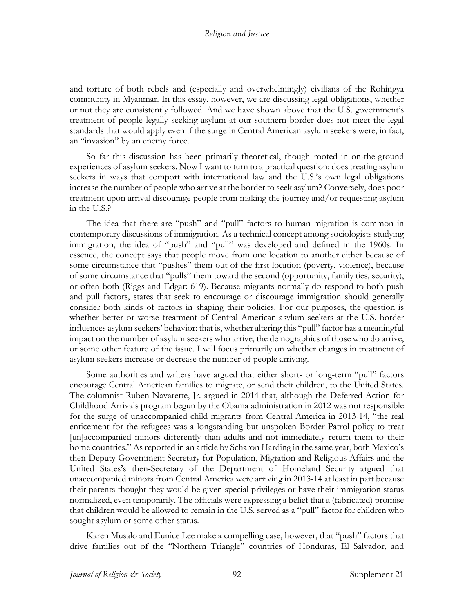and torture of both rebels and (especially and overwhelmingly) civilians of the Rohingya community in Myanmar. In this essay, however, we are discussing legal obligations, whether or not they are consistently followed. And we have shown above that the U.S. government's treatment of people legally seeking asylum at our southern border does not meet the legal standards that would apply even if the surge in Central American asylum seekers were, in fact, an "invasion" by an enemy force.

So far this discussion has been primarily theoretical, though rooted in on-the-ground experiences of asylum seekers. Now I want to turn to a practical question: does treating asylum seekers in ways that comport with international law and the U.S.'s own legal obligations increase the number of people who arrive at the border to seek asylum? Conversely, does poor treatment upon arrival discourage people from making the journey and/or requesting asylum in the U.S.?

The idea that there are "push" and "pull" factors to human migration is common in contemporary discussions of immigration. As a technical concept among sociologists studying immigration, the idea of "push" and "pull" was developed and defined in the 1960s. In essence, the concept says that people move from one location to another either because of some circumstance that "pushes" them out of the first location (poverty, violence), because of some circumstance that "pulls" them toward the second (opportunity, family ties, security), or often both (Riggs and Edgar: 619). Because migrants normally do respond to both push and pull factors, states that seek to encourage or discourage immigration should generally consider both kinds of factors in shaping their policies. For our purposes, the question is whether better or worse treatment of Central American asylum seekers at the U.S. border influences asylum seekers' behavior: that is, whether altering this "pull" factor has a meaningful impact on the number of asylum seekers who arrive, the demographics of those who do arrive, or some other feature of the issue. I will focus primarily on whether changes in treatment of asylum seekers increase or decrease the number of people arriving.

Some authorities and writers have argued that either short- or long-term "pull" factors encourage Central American families to migrate, or send their children, to the United States. The columnist Ruben Navarette, Jr. argued in 2014 that, although the Deferred Action for Childhood Arrivals program begun by the Obama administration in 2012 was not responsible for the surge of unaccompanied child migrants from Central America in 2013-14, "the real enticement for the refugees was a longstanding but unspoken Border Patrol policy to treat [un]accompanied minors differently than adults and not immediately return them to their home countries." As reported in an article by Scharon Harding in the same year, both Mexico's then-Deputy Government Secretary for Population, Migration and Religious Affairs and the United States's then-Secretary of the Department of Homeland Security argued that unaccompanied minors from Central America were arriving in 2013-14 at least in part because their parents thought they would be given special privileges or have their immigration status normalized, even temporarily. The officials were expressing a belief that a (fabricated) promise that children would be allowed to remain in the U.S. served as a "pull" factor for children who sought asylum or some other status.

Karen Musalo and Eunice Lee make a compelling case, however, that "push" factors that drive families out of the "Northern Triangle" countries of Honduras, El Salvador, and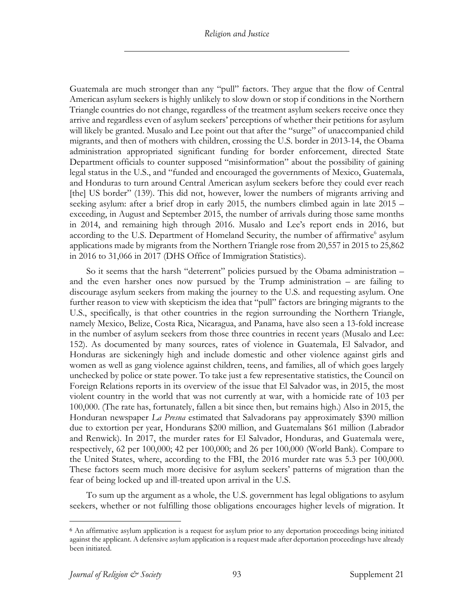Guatemala are much stronger than any "pull" factors. They argue that the flow of Central American asylum seekers is highly unlikely to slow down or stop if conditions in the Northern Triangle countries do not change, regardless of the treatment asylum seekers receive once they arrive and regardless even of asylum seekers' perceptions of whether their petitions for asylum will likely be granted. Musalo and Lee point out that after the "surge" of unaccompanied child migrants, and then of mothers with children, crossing the U.S. border in 2013-14, the Obama administration appropriated significant funding for border enforcement, directed State Department officials to counter supposed "misinformation" about the possibility of gaining legal status in the U.S., and "funded and encouraged the governments of Mexico, Guatemala, and Honduras to turn around Central American asylum seekers before they could ever reach [the] US border" (139). This did not, however, lower the numbers of migrants arriving and seeking asylum: after a brief drop in early 2015, the numbers climbed again in late 2015 – exceeding, in August and September 2015, the number of arrivals during those same months in 2014, and remaining high through 2016. Musalo and Lee's report ends in 2016, but according to the U.S. Department of Homeland Security, the number of affirmative<sup>6</sup> asylum applications made by migrants from the Northern Triangle rose from 20,557 in 2015 to 25,862 in 2016 to 31,066 in 2017 (DHS Office of Immigration Statistics).

So it seems that the harsh "deterrent" policies pursued by the Obama administration – and the even harsher ones now pursued by the Trump administration – are failing to discourage asylum seekers from making the journey to the U.S. and requesting asylum. One further reason to view with skepticism the idea that "pull" factors are bringing migrants to the U.S., specifically, is that other countries in the region surrounding the Northern Triangle, namely Mexico, Belize, Costa Rica, Nicaragua, and Panama, have also seen a 13-fold increase in the number of asylum seekers from those three countries in recent years (Musalo and Lee: 152). As documented by many sources, rates of violence in Guatemala, El Salvador, and Honduras are sickeningly high and include domestic and other violence against girls and women as well as gang violence against children, teens, and families, all of which goes largely unchecked by police or state power. To take just a few representative statistics, the Council on Foreign Relations reports in its overview of the issue that El Salvador was, in 2015, the most violent country in the world that was not currently at war, with a homicide rate of 103 per 100,000. (The rate has, fortunately, fallen a bit since then, but remains high.) Also in 2015, the Honduran newspaper *La Presna* estimated that Salvadorans pay approximately \$390 million due to extortion per year, Hondurans \$200 million, and Guatemalans \$61 million (Labrador and Renwick). In 2017, the murder rates for El Salvador, Honduras, and Guatemala were, respectively, 62 per 100,000; 42 per 100,000; and 26 per 100,000 (World Bank). Compare to the United States, where, according to the FBI, the 2016 murder rate was 5.3 per 100,000. These factors seem much more decisive for asylum seekers' patterns of migration than the fear of being locked up and ill-treated upon arrival in the U.S.

To sum up the argument as a whole, the U.S. government has legal obligations to asylum seekers, whether or not fulfilling those obligations encourages higher levels of migration. It

<sup>6</sup> An affirmative asylum application is a request for asylum prior to any deportation proceedings being initiated against the applicant. A defensive asylum application is a request made after deportation proceedings have already been initiated.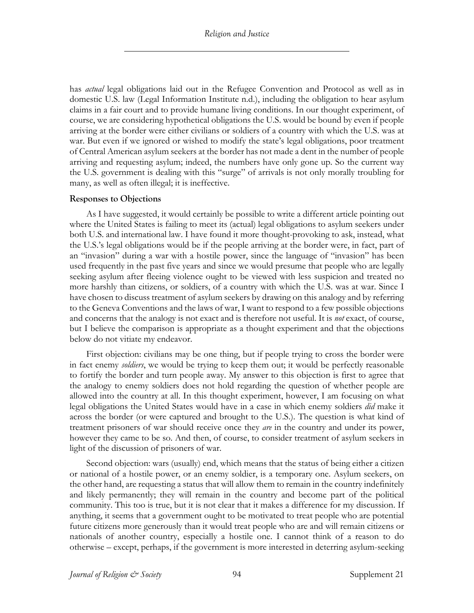has *actual* legal obligations laid out in the Refugee Convention and Protocol as well as in domestic U.S. law (Legal Information Institute n.d.), including the obligation to hear asylum claims in a fair court and to provide humane living conditions. In our thought experiment, of course, we are considering hypothetical obligations the U.S. would be bound by even if people arriving at the border were either civilians or soldiers of a country with which the U.S. was at war. But even if we ignored or wished to modify the state's legal obligations, poor treatment of Central American asylum seekers at the border has not made a dent in the number of people arriving and requesting asylum; indeed, the numbers have only gone up. So the current way the U.S. government is dealing with this "surge" of arrivals is not only morally troubling for many, as well as often illegal; it is ineffective.

## **Responses to Objections**

As I have suggested, it would certainly be possible to write a different article pointing out where the United States is failing to meet its (actual) legal obligations to asylum seekers under both U.S. and international law. I have found it more thought-provoking to ask, instead, what the U.S.'s legal obligations would be if the people arriving at the border were, in fact, part of an "invasion" during a war with a hostile power, since the language of "invasion" has been used frequently in the past five years and since we would presume that people who are legally seeking asylum after fleeing violence ought to be viewed with less suspicion and treated no more harshly than citizens, or soldiers, of a country with which the U.S. was at war. Since I have chosen to discuss treatment of asylum seekers by drawing on this analogy and by referring to the Geneva Conventions and the laws of war, I want to respond to a few possible objections and concerns that the analogy is not exact and is therefore not useful. It is *not* exact, of course, but I believe the comparison is appropriate as a thought experiment and that the objections below do not vitiate my endeavor.

First objection: civilians may be one thing, but if people trying to cross the border were in fact enemy *soldiers*, we would be trying to keep them out; it would be perfectly reasonable to fortify the border and turn people away. My answer to this objection is first to agree that the analogy to enemy soldiers does not hold regarding the question of whether people are allowed into the country at all. In this thought experiment, however, I am focusing on what legal obligations the United States would have in a case in which enemy soldiers *did* make it across the border (or were captured and brought to the U.S.). The question is what kind of treatment prisoners of war should receive once they *are* in the country and under its power, however they came to be so. And then, of course, to consider treatment of asylum seekers in light of the discussion of prisoners of war.

Second objection: wars (usually) end, which means that the status of being either a citizen or national of a hostile power, or an enemy soldier, is a temporary one. Asylum seekers, on the other hand, are requesting a status that will allow them to remain in the country indefinitely and likely permanently; they will remain in the country and become part of the political community. This too is true, but it is not clear that it makes a difference for my discussion. If anything, it seems that a government ought to be motivated to treat people who are potential future citizens more generously than it would treat people who are and will remain citizens or nationals of another country, especially a hostile one. I cannot think of a reason to do otherwise – except, perhaps, if the government is more interested in deterring asylum-seeking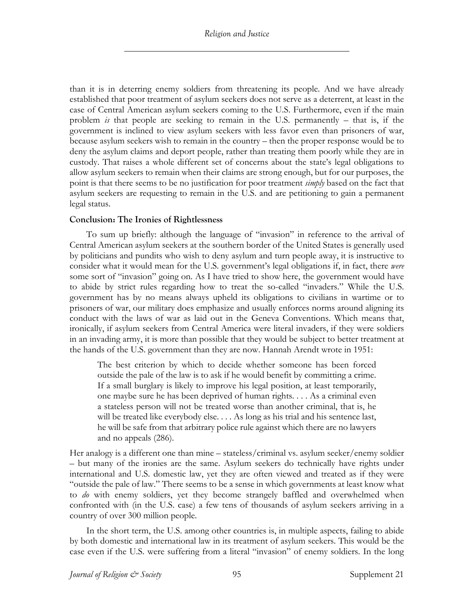than it is in deterring enemy soldiers from threatening its people. And we have already established that poor treatment of asylum seekers does not serve as a deterrent, at least in the case of Central American asylum seekers coming to the U.S. Furthermore, even if the main problem *is* that people are seeking to remain in the U.S. permanently – that is, if the government is inclined to view asylum seekers with less favor even than prisoners of war, because asylum seekers wish to remain in the country – then the proper response would be to deny the asylum claims and deport people, rather than treating them poorly while they are in custody. That raises a whole different set of concerns about the state's legal obligations to allow asylum seekers to remain when their claims are strong enough, but for our purposes, the point is that there seems to be no justification for poor treatment *simply* based on the fact that asylum seekers are requesting to remain in the U.S. and are petitioning to gain a permanent legal status.

## **Conclusion: The Ironies of Rightlessness**

To sum up briefly: although the language of "invasion" in reference to the arrival of Central American asylum seekers at the southern border of the United States is generally used by politicians and pundits who wish to deny asylum and turn people away, it is instructive to consider what it would mean for the U.S. government's legal obligations if, in fact, there *were* some sort of "invasion" going on. As I have tried to show here, the government would have to abide by strict rules regarding how to treat the so-called "invaders." While the U.S. government has by no means always upheld its obligations to civilians in wartime or to prisoners of war, our military does emphasize and usually enforces norms around aligning its conduct with the laws of war as laid out in the Geneva Conventions. Which means that, ironically, if asylum seekers from Central America were literal invaders, if they were soldiers in an invading army, it is more than possible that they would be subject to better treatment at the hands of the U.S. government than they are now. Hannah Arendt wrote in 1951:

The best criterion by which to decide whether someone has been forced outside the pale of the law is to ask if he would benefit by committing a crime. If a small burglary is likely to improve his legal position, at least temporarily, one maybe sure he has been deprived of human rights. . . . As a criminal even a stateless person will not be treated worse than another criminal, that is, he will be treated like everybody else. . . . As long as his trial and his sentence last, he will be safe from that arbitrary police rule against which there are no lawyers and no appeals (286).

Her analogy is a different one than mine – stateless/criminal vs. asylum seeker/enemy soldier – but many of the ironies are the same. Asylum seekers do technically have rights under international and U.S. domestic law, yet they are often viewed and treated as if they were "outside the pale of law." There seems to be a sense in which governments at least know what to *do* with enemy soldiers, yet they become strangely baffled and overwhelmed when confronted with (in the U.S. case) a few tens of thousands of asylum seekers arriving in a country of over 300 million people.

In the short term, the U.S. among other countries is, in multiple aspects, failing to abide by both domestic and international law in its treatment of asylum seekers. This would be the case even if the U.S. were suffering from a literal "invasion" of enemy soldiers. In the long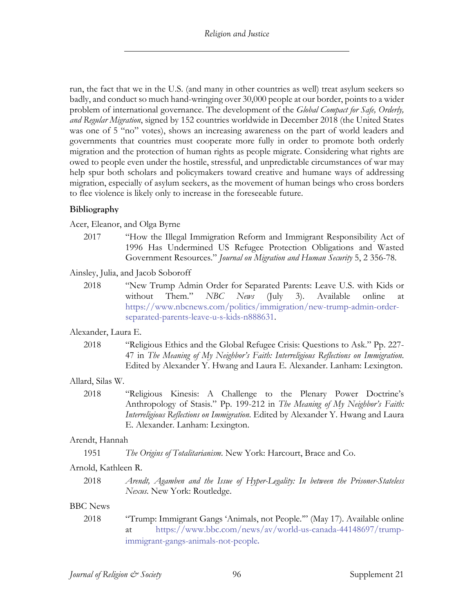run, the fact that we in the U.S. (and many in other countries as well) treat asylum seekers so badly, and conduct so much hand-wringing over 30,000 people at our border, points to a wider problem of international governance. The development of the *Global Compact for Safe, Orderly, and Regular Migration*, signed by 152 countries worldwide in December 2018 (the United States was one of 5 "no" votes), shows an increasing awareness on the part of world leaders and governments that countries must cooperate more fully in order to promote both orderly migration and the protection of human rights as people migrate. Considering what rights are owed to people even under the hostile, stressful, and unpredictable circumstances of war may help spur both scholars and policymakers toward creative and humane ways of addressing migration, especially of asylum seekers, as the movement of human beings who cross borders to flee violence is likely only to increase in the foreseeable future.

## **Bibliography**

Acer, Eleanor, and Olga Byrne

2017 "How the Illegal Immigration Reform and Immigrant Responsibility Act of 1996 Has Undermined US Refugee Protection Obligations and Wasted Government Resources." *Journal on Migration and Human Security* 5, 2 356-78.

Ainsley, Julia, and Jacob Soboroff

2018 "New Trump Admin Order for Separated Parents: Leave U.S. with Kids or without Them." *NBC News* (July 3). Available online at https://www.nbcnews.com/politics/immigration/new-trump-admin-orderseparated-parents-leave-u-s-kids-n888631.

## Alexander, Laura E.

2018 "Religious Ethics and the Global Refugee Crisis: Questions to Ask." Pp. 227- 47 in *The Meaning of My Neighbor's Faith: Interreligious Reflections on Immigration*. Edited by Alexander Y. Hwang and Laura E. Alexander. Lanham: Lexington.

## Allard, Silas W.

2018 "Religious Kinesis: A Challenge to the Plenary Power Doctrine's Anthropology of Stasis." Pp. 199-212 in *The Meaning of My Neighbor's Faith: Interreligious Reflections on Immigration*. Edited by Alexander Y. Hwang and Laura E. Alexander. Lanham: Lexington.

## Arendt, Hannah

1951 *The Origins of Totalitarianism*. New York: Harcourt, Brace and Co.

## Arnold, Kathleen R.

2018 *Arendt, Agamben and the Issue of Hyper-Legality: In between the Prisoner-Stateless Nexus*. New York: Routledge.

## BBC News

2018 "Trump: Immigrant Gangs 'Animals, not People.'" (May 17). Available online at https://www.bbc.com/news/av/world-us-canada-44148697/trumpimmigrant-gangs-animals-not-people.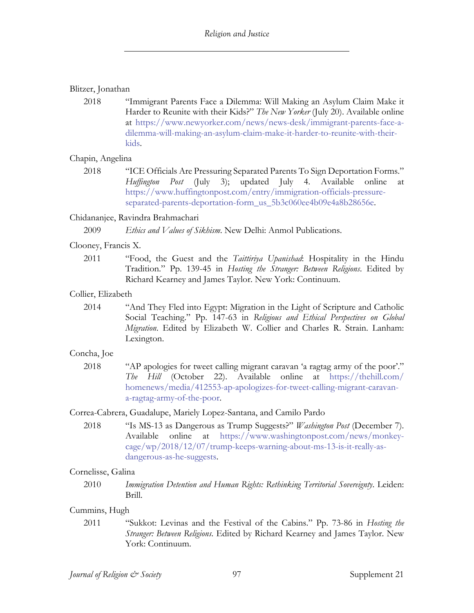## Blitzer, Jonathan

2018 "Immigrant Parents Face a Dilemma: Will Making an Asylum Claim Make it Harder to Reunite with their Kids?" *The New Yorker* (July 20). Available online at https://www.newyorker.com/news/news-desk/immigrant-parents-face-adilemma-will-making-an-asylum-claim-make-it-harder-to-reunite-with-theirkids.

## Chapin, Angelina

2018 "ICE Officials Are Pressuring Separated Parents To Sign Deportation Forms." *Huffington Post* (July 3); updated July 4. Available online at https://www.huffingtonpost.com/entry/immigration-officials-pressureseparated-parents-deportation-form\_us\_5b3c060ee4b09e4a8b28656e.

## Chidananjee, Ravindra Brahmachari

2009 *Ethics and Values of Sikhism*. New Delhi: Anmol Publications.

## Clooney, Francis X.

2011 "Food, the Guest and the *Taittiriya Upanishad*: Hospitality in the Hindu Tradition." Pp. 139-45 in *Hosting the Stranger: Between Religions*. Edited by Richard Kearney and James Taylor. New York: Continuum.

## Collier, Elizabeth

2014 "And They Fled into Egypt: Migration in the Light of Scripture and Catholic Social Teaching." Pp. 147-63 in *Religious and Ethical Perspectives on Global Migration*. Edited by Elizabeth W. Collier and Charles R. Strain. Lanham: Lexington.

## Concha, Joe

2018 "AP apologies for tweet calling migrant caravan 'a ragtag army of the poor'." *The Hill* (October 22). Available online at https://thehill.com/ homenews/media/412553-ap-apologizes-for-tweet-calling-migrant-caravana-ragtag-army-of-the-poor.

## Correa-Cabrera, Guadalupe, Mariely Lopez-Santana, and Camilo Pardo

2018 "Is MS-13 as Dangerous as Trump Suggests?" *Washington Post* (December 7). Available online at https://www.washingtonpost.com/news/monkeycage/wp/2018/12/07/trump-keeps-warning-about-ms-13-is-it-really-asdangerous-as-he-suggests.

## Cornelisse, Galina

2010 *Immigration Detention and Human Rights: Rethinking Territorial Sovereignty*. Leiden: Brill.

## Cummins, Hugh

2011 "Sukkot: Levinas and the Festival of the Cabins." Pp. 73-86 in *Hosting the Stranger: Between Religions*. Edited by Richard Kearney and James Taylor. New York: Continuum.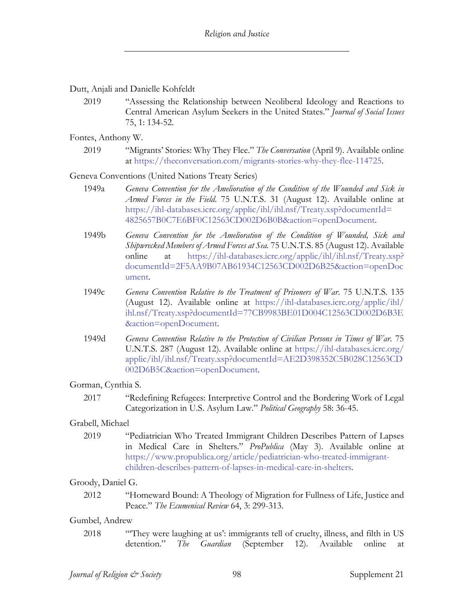Dutt, Anjali and Danielle Kohfeldt

2019 "Assessing the Relationship between Neoliberal Ideology and Reactions to Central American Asylum Seekers in the United States." *Journal of Social Issues* 75, 1: 134-52.

Fontes, Anthony W.

2019 "Migrants' Stories: Why They Flee." *The Conversation* (April 9). Available online at https://theconversation.com/migrants-stories-why-they-flee-114725.

Geneva Conventions (United Nations Treaty Series)

- 1949a *Geneva Convention for the Amelioration of the Condition of the Wounded and Sick in Armed Forces in the Field*. 75 U.N.T.S. 31 (August 12). Available online at https://ihl-databases.icrc.org/applic/ihl/ihl.nsf/Treaty.xsp?documentId= 4825657B0C7E6BF0C12563CD002D6B0B&action=openDocument.
- 1949b *Geneva Convention for the Amelioration of the Condition of Wounded, Sick and Shipwrecked Members of Armed Forces at Sea.* 75 U.N.T.S. 85 (August 12). Available online at https://ihl-databases.icrc.org/applic/ihl/ihl.nsf/Treaty.xsp? documentId=2F5AA9B07AB61934C12563CD002D6B25&action=openDoc ument.
- 1949c *Geneva Convention Relative to the Treatment of Prisoners of War*. 75 U.N.T.S. 135 (August 12). Available online at https://ihl-databases.icrc.org/applic/ihl/ ihl.nsf/Treaty.xsp?documentId=77CB9983BE01D004C12563CD002D6B3E &action=openDocument.
- 1949d *Geneva Convention Relative to the Protection of Civilian Persons in Times of War*. 75 U.N.T.S. 287 (August 12). Available online at https://ihl-databases.icrc.org/ applic/ihl/ihl.nsf/Treaty.xsp?documentId=AE2D398352C5B028C12563CD 002D6B5C&action=openDocument.

## Gorman, Cynthia S.

2017 "Redefining Refugees: Interpretive Control and the Bordering Work of Legal Categorization in U.S. Asylum Law." *Political Geography* 58: 36-45.

## Grabell, Michael

2019 "Pediatrician Who Treated Immigrant Children Describes Pattern of Lapses in Medical Care in Shelters." *ProPublica* (May 3). Available online at https://www.propublica.org/article/pediatrician-who-treated-immigrantchildren-describes-pattern-of-lapses-in-medical-care-in-shelters.

## Groody, Daniel G.

2012 "Homeward Bound: A Theology of Migration for Fullness of Life, Justice and Peace." *The Ecumenical Review* 64, 3: 299-313.

## Gumbel, Andrew

2018 "'They were laughing at us': immigrants tell of cruelty, illness, and filth in US detention." *The Guardian* (September 12). Available online at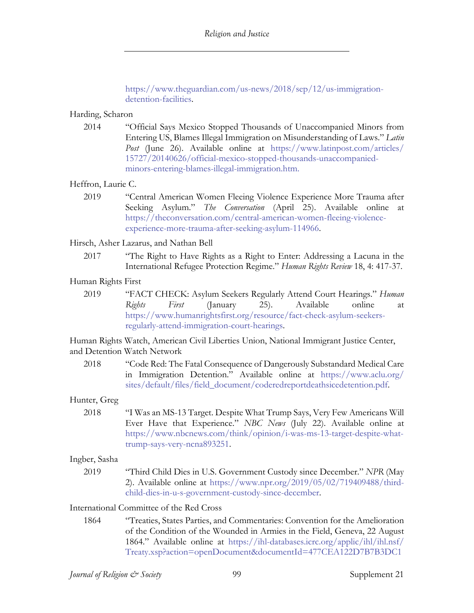https://www.theguardian.com/us-news/2018/sep/12/us-immigrationdetention-facilities.

#### Harding, Scharon

2014 "Official Says Mexico Stopped Thousands of Unaccompanied Minors from Entering US, Blames Illegal Immigration on Misunderstanding of Laws." *Latin Post* (June 26). Available online at https://www.latinpost.com/articles/ 15727/20140626/official-mexico-stopped-thousands-unaccompaniedminors-entering-blames-illegal-immigration.htm.

## Heffron, Laurie C.

2019 "Central American Women Fleeing Violence Experience More Trauma after Seeking Asylum." *The Conversation* (April 25). Available online at https://theconversation.com/central-american-women-fleeing-violenceexperience-more-trauma-after-seeking-asylum-114966.

#### Hirsch, Asher Lazarus, and Nathan Bell

2017 "The Right to Have Rights as a Right to Enter: Addressing a Lacuna in the International Refugee Protection Regime." *Human Rights Review* 18, 4: 417-37.

#### Human Rights First

2019 "FACT CHECK: Asylum Seekers Regularly Attend Court Hearings." *Human Rights First* (January 25). Available online at https://www.humanrightsfirst.org/resource/fact-check-asylum-seekersregularly-attend-immigration-court-hearings.

Human Rights Watch, American Civil Liberties Union, National Immigrant Justice Center, and Detention Watch Network

2018 "Code Red: The Fatal Consequence of Dangerously Substandard Medical Care in Immigration Detention." Available online at https://www.aclu.org/ sites/default/files/field\_document/coderedreportdeathsicedetention.pdf.

## Hunter, Greg

2018 "I Was an MS-13 Target. Despite What Trump Says, Very Few Americans Will Ever Have that Experience." *NBC News* (July 22). Available online at https://www.nbcnews.com/think/opinion/i-was-ms-13-target-despite-whattrump-says-very-ncna893251.

#### Ingber, Sasha

2019 "Third Child Dies in U.S. Government Custody since December." *NPR* (May 2). Available online at https://www.npr.org/2019/05/02/719409488/thirdchild-dies-in-u-s-government-custody-since-december.

#### International Committee of the Red Cross

1864 "Treaties, States Parties, and Commentaries: Convention for the Amelioration of the Condition of the Wounded in Armies in the Field, Geneva, 22 August 1864." Available online at https://ihl-databases.icrc.org/applic/ihl/ihl.nsf/ Treaty.xsp?action=openDocument&documentId=477CEA122D7B7B3DC1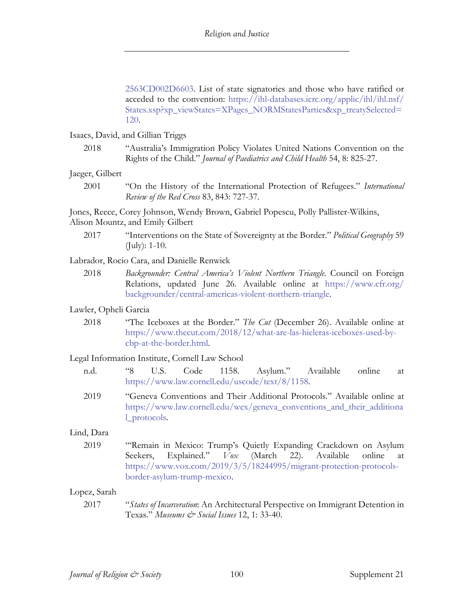2563CD002D6603. List of state signatories and those who have ratified or acceded to the convention: https://ihl-databases.icrc.org/applic/ihl/ihl.nsf/ States.xsp?xp\_viewStates=XPages\_NORMStatesParties&xp\_treatySelected= 120.

Isaacs, David, and Gillian Triggs

2018 "Australia's Immigration Policy Violates United Nations Convention on the Rights of the Child." *Journal of Paediatrics and Child Health* 54, 8: 825-27.

#### Jaeger, Gilbert

2001 "On the History of the International Protection of Refugees." *International Review of the Red Cross* 83, 843: 727-37.

Jones, Reece, Corey Johnson, Wendy Brown, Gabriel Popescu, Polly Pallister-Wilkins, Alison Mountz, and Emily Gilbert

2017 "Interventions on the State of Sovereignty at the Border." *Political Geography* 59 (July): 1-10.

Labrador, Rocio Cara, and Danielle Renwick

2018 *Backgrounder: Central America's Violent Northern Triangle*. Council on Foreign Relations, updated June 26. Available online at https://www.cfr.org/ backgrounder/central-americas-violent-northern-triangle.

#### Lawler, Opheli Garcia

2018 "The Iceboxes at the Border." *The Cut* (December 26). Available online at https://www.thecut.com/2018/12/what-are-las-hieleras-iceboxes-used-bycbp-at-the-border.html.

#### Legal Information Institute, Cornell Law School

- n.d. "8 U.S. Code 1158. Asylum." Available online at https://www.law.cornell.edu/uscode/text/8/1158.
- 2019 "Geneva Conventions and Their Additional Protocols." Available online at https://www.law.cornell.edu/wex/geneva\_conventions\_and\_their\_additiona l\_protocols.

#### Lind, Dara

2019 "'Remain in Mexico: Trump's Quietly Expanding Crackdown on Asylum Seekers, Explained." *Vox* (March 22). Available online at https://www.vox.com/2019/3/5/18244995/migrant-protection-protocolsborder-asylum-trump-mexico.

## Lopez, Sarah

2017 "*States of Incarceration*: An Architectural Perspective on Immigrant Detention in Texas." *Museums & Social Issues* 12, 1: 33-40.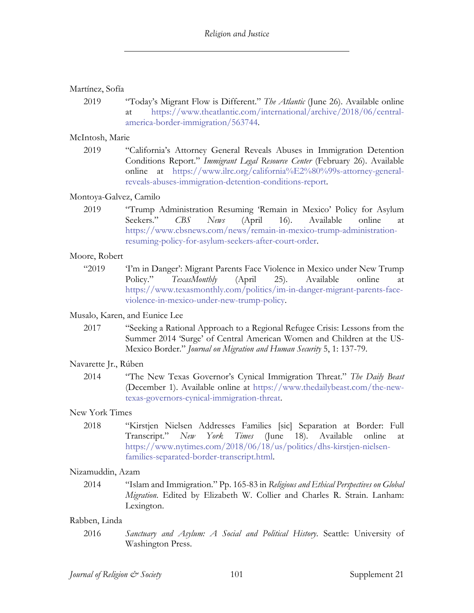#### Martínez, Sofía

2019 "Today's Migrant Flow is Different." *The Atlantic* (June 26). Available online https://www.theatlantic.com/international/archive/2018/06/centralamerica-border-immigration/563744.

#### McIntosh, Marie

2019 "California's Attorney General Reveals Abuses in Immigration Detention Conditions Report." *Immigrant Legal Resource Center* (February 26). Available online at https://www.ilrc.org/california%E2%80%99s-attorney-generalreveals-abuses-immigration-detention-conditions-report.

#### Montoya-Galvez, Camilo

2019 "Trump Administration Resuming 'Remain in Mexico' Policy for Asylum Seekers." *CBS News* (April 16). Available online at https://www.cbsnews.com/news/remain-in-mexico-trump-administrationresuming-policy-for-asylum-seekers-after-court-order.

#### Moore, Robert

"2019 'I'm in Danger': Migrant Parents Face Violence in Mexico under New Trump Policy." *TexasMonthly* (April 25). Available online at https://www.texasmonthly.com/politics/im-in-danger-migrant-parents-faceviolence-in-mexico-under-new-trump-policy.

#### Musalo, Karen, and Eunice Lee

2017 "Seeking a Rational Approach to a Regional Refugee Crisis: Lessons from the Summer 2014 'Surge' of Central American Women and Children at the US-Mexico Border." *Journal on Migration and Human Security* 5, 1: 137-79.

#### Navarette Jr., Rúben

2014 "The New Texas Governor's Cynical Immigration Threat." *The Daily Beast* (December 1). Available online at https://www.thedailybeast.com/the-newtexas-governors-cynical-immigration-threat.

#### New York Times

2018 "Kirstjen Nielsen Addresses Families [sic] Separation at Border: Full Transcript." *New York Times* (June 18). Available online at https://www.nytimes.com/2018/06/18/us/politics/dhs-kirstjen-nielsenfamilies-separated-border-transcript.html.

#### Nizamuddin, Azam

2014 "Islam and Immigration." Pp. 165-83 in *Religious and Ethical Perspectives on Global Migration*. Edited by Elizabeth W. Collier and Charles R. Strain. Lanham: Lexington.

#### Rabben, Linda

2016 *Sanctuary and Asylum: A Social and Political History*. Seattle: University of Washington Press.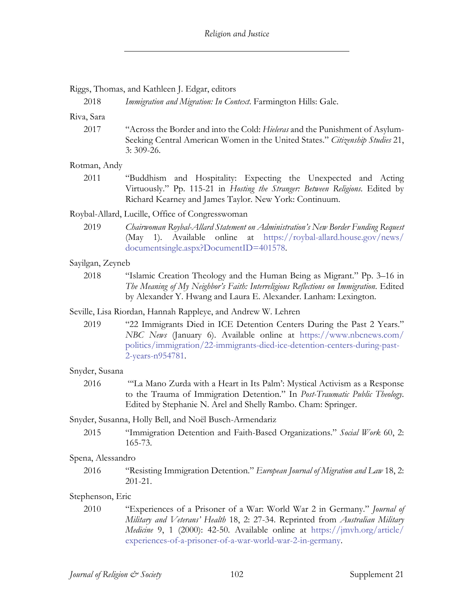#### Riggs, Thomas, and Kathleen J. Edgar, editors

2018 *Immigration and Migration: In Context*. Farmington Hills: Gale.

Riva, Sara

2017 "Across the Border and into the Cold: *Hieleras* and the Punishment of Asylum-Seeking Central American Women in the United States." *Citizenship Studies* 21, 3: 309-26.

#### Rotman, Andy

2011 "Buddhism and Hospitality: Expecting the Unexpected and Acting Virtuously." Pp. 115-21 in *Hosting the Stranger: Between Religions*. Edited by Richard Kearney and James Taylor. New York: Continuum.

#### Roybal-Allard, Lucille, Office of Congresswoman

2019 *Chairwoman Roybal-Allard Statement on Administration's New Border Funding Request* (May 1)*.* Available online at https://roybal-allard.house.gov/news/ documentsingle.aspx?DocumentID=401578.

#### Sayilgan, Zeyneb

- 2018 "Islamic Creation Theology and the Human Being as Migrant." Pp. 3–16 in *The Meaning of My Neighbor's Faith: Interreligious Reflections on Immigration*. Edited by Alexander Y. Hwang and Laura E. Alexander. Lanham: Lexington.
- Seville, Lisa Riordan, Hannah Rappleye, and Andrew W. Lehren
	- 2019 "22 Immigrants Died in ICE Detention Centers During the Past 2 Years." *NBC News* (January 6). Available online at https://www.nbcnews.com/ politics/immigration/22-immigrants-died-ice-detention-centers-during-past-2-years-n954781.

#### Snyder, Susana

2016 "'La Mano Zurda with a Heart in Its Palm': Mystical Activism as a Response to the Trauma of Immigration Detention." In *Post-Traumatic Public Theology*. Edited by Stephanie N. Arel and Shelly Rambo. Cham: Springer.

#### Snyder, Susanna, Holly Bell, and Noël Busch-Armendariz

2015 "Immigration Detention and Faith-Based Organizations." *Social Work* 60, 2: 165-73.

#### Spena, Alessandro

2016 "Resisting Immigration Detention." *European Journal of Migration and Law* 18, 2: 201-21.

#### Stephenson, Eric

2010 "Experiences of a Prisoner of a War: World War 2 in Germany." *Journal of Military and Veterans' Health* 18, 2: 27-34. Reprinted from *Australian Military Medicine* 9, 1 (2000): 42-50. Available online at https://jmvh.org/article/ experiences-of-a-prisoner-of-a-war-world-war-2-in-germany.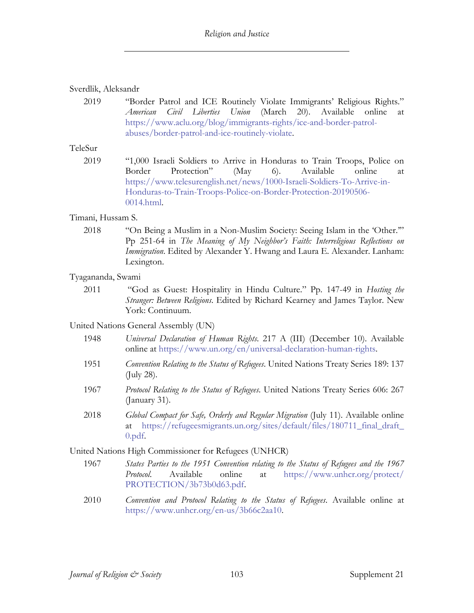## Sverdlik, Aleksandr

2019 "Border Patrol and ICE Routinely Violate Immigrants' Religious Rights." *American Civil Liberties Union* (March 20). Available online at https://www.aclu.org/blog/immigrants-rights/ice-and-border-patrolabuses/border-patrol-and-ice-routinely-violate.

TeleSur

2019 "1,000 Israeli Soldiers to Arrive in Honduras to Train Troops, Police on Border Protection" (May 6). Available online at https://www.telesurenglish.net/news/1000-Israeli-Soldiers-To-Arrive-in-Honduras-to-Train-Troops-Police-on-Border-Protection-20190506- 0014.html.

#### Timani, Hussam S.

2018 "On Being a Muslim in a Non-Muslim Society: Seeing Islam in the 'Other.'" Pp 251-64 in *The Meaning of My Neighbor's Faith: Interreligious Reflections on Immigration*. Edited by Alexander Y. Hwang and Laura E. Alexander. Lanham: Lexington.

## Tyagananda, Swami

2011 "God as Guest: Hospitality in Hindu Culture." Pp. 147-49 in *Hosting the Stranger: Between Religions*. Edited by Richard Kearney and James Taylor. New York: Continuum.

## United Nations General Assembly (UN)

- 1948 *Universal Declaration of Human Rights*. 217 A (III) (December 10). Available online at https://www.un.org/en/universal-declaration-human-rights.
- 1951 *Convention Relating to the Status of Refugees*. United Nations Treaty Series 189: 137 (July 28).
- 1967 *Protocol Relating to the Status of Refugees*. United Nations Treaty Series 606: 267 (January 31).
- 2018 *Global Compact for Safe, Orderly and Regular Migration* (July 11). Available online at https://refugeesmigrants.un.org/sites/default/files/180711\_final\_draft\_ 0.pdf.

## United Nations High Commissioner for Refugees (UNHCR)

- 1967 *States Parties to the 1951 Convention relating to the Status of Refugees and the 1967 Protocol*. Available online at https://www.unhcr.org/protect/ PROTECTION/3b73b0d63.pdf.
- 2010 *Convention and Protocol Relating to the Status of Refugees*. Available online at https://www.unhcr.org/en-us/3b66c2aa10.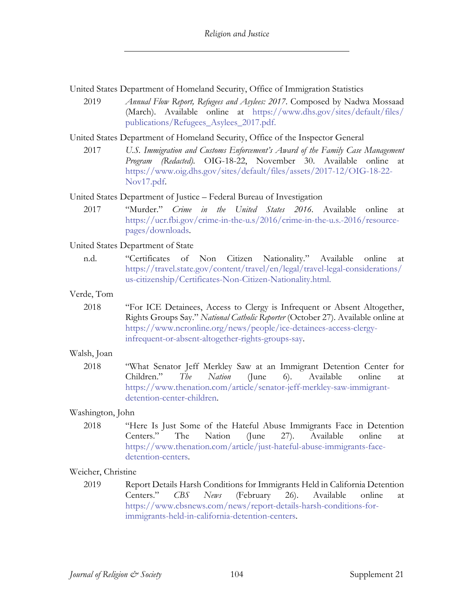United States Department of Homeland Security, Office of Immigration Statistics

2019 *Annual Flow Report, Refugees and Asylees: 2017*. Composed by Nadwa Mossaad (March). Available online at https://www.dhs.gov/sites/default/files/ publications/Refugees\_Asylees\_2017.pdf.

United States Department of Homeland Security, Office of the Inspector General

2017 *U.S. Immigration and Customs Enforcement's Award of the Family Case Management Program (Redacted).* OIG-18-22, November 30. Available online at https://www.oig.dhs.gov/sites/default/files/assets/2017-12/OIG-18-22- Nov17.pdf.

United States Department of Justice – Federal Bureau of Investigation

2017 "Murder." *Crime in the United States 2016*. Available online at https://ucr.fbi.gov/crime-in-the-u.s/2016/crime-in-the-u.s.-2016/resourcepages/downloads.

## United States Department of State

n.d. "Certificates of Non Citizen Nationality." Available online at https://travel.state.gov/content/travel/en/legal/travel-legal-considerations/ us-citizenship/Certificates-Non-Citizen-Nationality.html.

#### Verde, Tom

2018 "For ICE Detainees, Access to Clergy is Infrequent or Absent Altogether, Rights Groups Say." *National Catholic Reporter* (October 27). Available online at https://www.ncronline.org/news/people/ice-detainees-access-clergyinfrequent-or-absent-altogether-rights-groups-say.

## Walsh, Joan

2018 "What Senator Jeff Merkley Saw at an Immigrant Detention Center for Children." *The Nation* (June 6). Available online at https://www.thenation.com/article/senator-jeff-merkley-saw-immigrantdetention-center-children.

## Washington, John

2018 "Here Is Just Some of the Hateful Abuse Immigrants Face in Detention Centers." The Nation (June 27). Available online at https://www.thenation.com/article/just-hateful-abuse-immigrants-facedetention-centers.

## Weicher, Christine

2019 Report Details Harsh Conditions for Immigrants Held in California Detention Centers." *CBS News* (February 26). Available online at https://www.cbsnews.com/news/report-details-harsh-conditions-forimmigrants-held-in-california-detention-centers.